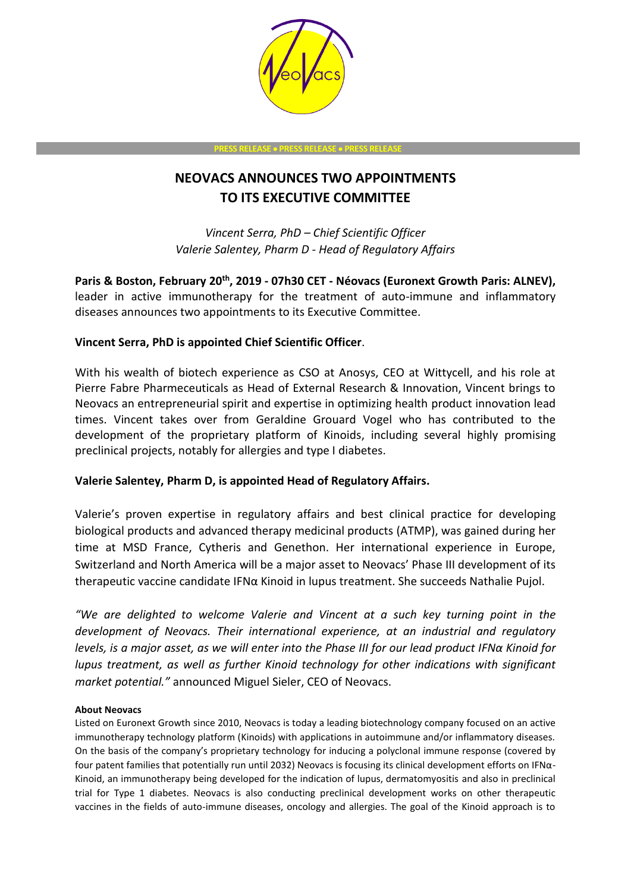

**PRESS RELEASE** • **PRESS RELEASE** • **PRESS RELEASE**

# **NEOVACS ANNOUNCES TWO APPOINTMENTS TO ITS EXECUTIVE COMMITTEE**

*Vincent Serra, PhD – Chief Scientific Officer Valerie Salentey, Pharm D - Head of Regulatory Affairs* 

**Paris & Boston, February 20th , 2019 - 07h30 CET - Néovacs (Euronext Growth Paris: ALNEV),** leader in active immunotherapy for the treatment of auto-immune and inflammatory diseases announces two appointments to its Executive Committee.

## **Vincent Serra, PhD is appointed Chief Scientific Officer**.

With his wealth of biotech experience as CSO at Anosys, CEO at Wittycell, and his role at Pierre Fabre Pharmeceuticals as Head of External Research & Innovation, Vincent brings to Neovacs an entrepreneurial spirit and expertise in optimizing health product innovation lead times. Vincent takes over from Geraldine Grouard Vogel who has contributed to the development of the proprietary platform of Kinoids, including several highly promising preclinical projects, notably for allergies and type I diabetes.

### **Valerie Salentey, Pharm D, is appointed Head of Regulatory Affairs.**

Valerie's proven expertise in regulatory affairs and best clinical practice for developing biological products and advanced therapy medicinal products (ATMP), was gained during her time at MSD France, Cytheris and Genethon. Her international experience in Europe, Switzerland and North America will be a major asset to Neovacs' Phase III development of its therapeutic vaccine candidate IFNα Kinoid in lupus treatment. She succeeds Nathalie Pujol.

*"We are delighted to welcome Valerie and Vincent at a such key turning point in the development of Neovacs. Their international experience, at an industrial and regulatory levels, is a major asset, as we will enter into the Phase III for our lead product IFNα Kinoid for lupus treatment, as well as further Kinoid technology for other indications with significant market potential."* announced Miguel Sieler, CEO of Neovacs.

#### **About Neovacs**

Listed on Euronext Growth since 2010, Neovacs is today a leading biotechnology company focused on an active immunotherapy technology platform (Kinoids) with applications in autoimmune and/or inflammatory diseases. On the basis of the company's proprietary technology for inducing a polyclonal immune response (covered by four patent families that potentially run until 2032) Neovacs is focusing its clinical development efforts on IFNα-Kinoid, an immunotherapy being developed for the indication of lupus, dermatomyositis and also in preclinical trial for Type 1 diabetes. Neovacs is also conducting preclinical development works on other therapeutic vaccines in the fields of auto-immune diseases, oncology and allergies. The goal of the Kinoid approach is to